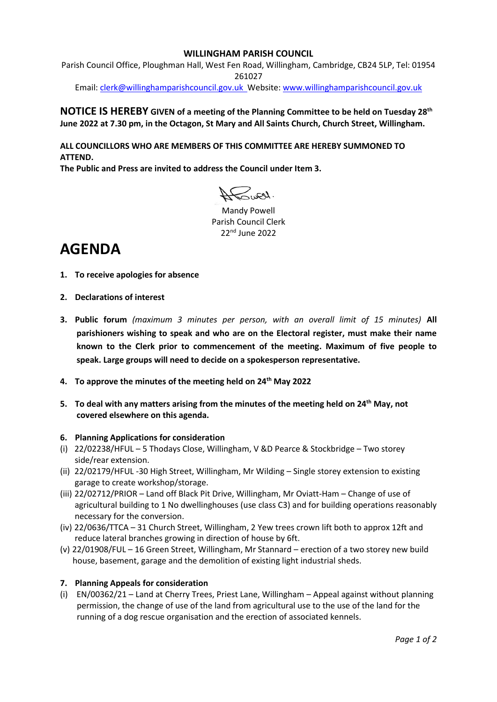## **WILLINGHAM PARISH COUNCIL**

Parish Council Office, Ploughman Hall, West Fen Road, Willingham, Cambridge, CB24 5LP, Tel: 01954 261027

Email: [clerk@willinghamparishcouncil.gov.uk](mailto:clerk@willinghamparishcouncil.gov.uk) Website: [www.willinghamparishcouncil.gov.uk](http://www.willinghamparishcouncil.gov.uk/)

## **NOTICE IS HEREBY GIVEN of a meeting of the Planning Committee to be held on Tuesday 28 th June 2022 at 7.30 pm, in the Octagon, St Mary and All Saints Church, Church Street, Willingham.**

**ALL COUNCILLORS WHO ARE MEMBERS OF THIS COMMITTEE ARE HEREBY SUMMONED TO ATTEND.**

**The Public and Press are invited to address the Council under Item 3.**

A Cuest.

Mandy Powell Parish Council Clerk 22nd June 2022

# **AGENDA**

- **1. To receive apologies for absence**
- **2. Declarations of interest**
- **3. Public forum** *(maximum 3 minutes per person, with an overall limit of 15 minutes)* **All parishioners wishing to speak and who are on the Electoral register, must make their name known to the Clerk prior to commencement of the meeting. Maximum of five people to speak. Large groups will need to decide on a spokesperson representative.**
- **4. To approve the minutes of the meeting held on 24th May 2022**
- **5. To deal with any matters arising from the minutes of the meeting held on 24 th May, not covered elsewhere on this agenda.**

#### **6. Planning Applications for consideration**

- (i) 22/02238/HFUL 5 Thodays Close, Willingham, V &D Pearce & Stockbridge Two storey side/rear extension.
- (ii) 22/02179/HFUL -30 High Street, Willingham, Mr Wilding Single storey extension to existing garage to create workshop/storage.
- (iii) 22/02712/PRIOR Land off Black Pit Drive, Willingham, Mr Oviatt-Ham Change of use of agricultural building to 1 No dwellinghouses (use class C3) and for building operations reasonably necessary for the conversion.
- (iv) 22/0636/TTCA 31 Church Street, Willingham, 2 Yew trees crown lift both to approx 12ft and reduce lateral branches growing in direction of house by 6ft.
- (v) 22/01908/FUL 16 Green Street, Willingham, Mr Stannard erection of a two storey new build house, basement, garage and the demolition of existing light industrial sheds.

## **7. Planning Appeals for consideration**

(i) EN/00362/21 – Land at Cherry Trees, Priest Lane, Willingham – Appeal against without planning permission, the change of use of the land from agricultural use to the use of the land for the running of a dog rescue organisation and the erection of associated kennels.